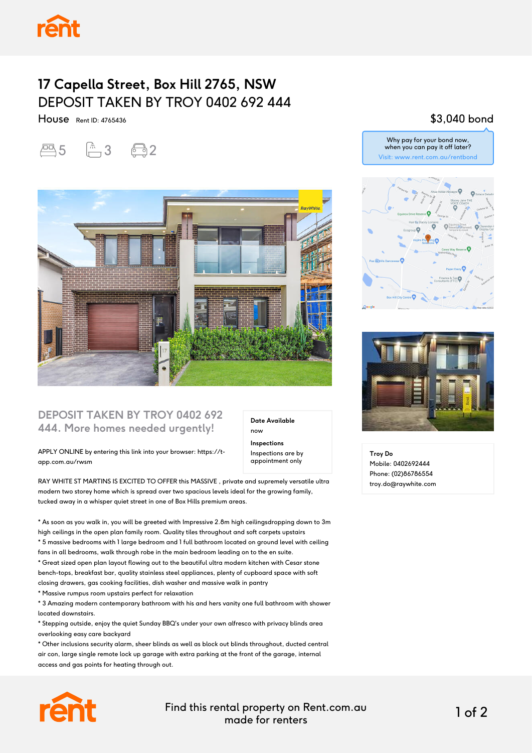

## **17 Capella Street, Box Hill 2765, NSW** DEPOSIT TAKEN BY TROY 0402 692 444

House Rent ID: 4765436





#### **DEPOSIT TAKEN BY TROY 0402 692 444. More homes needed urgently!**

APPLY ONLINE by entering this link into your browser: https://tapp.com.au/rwsm

RAY WHITE ST MARTINS IS EXCITED TO OFFER this MASSIVE , private and supremely versatile ultra modern two storey home which is spread over two spacious levels ideal for the growing family, tucked away in a whisper quiet street in one of Box Hills premium areas.

\* As soon as you walk in, you will be greeted with Impressive 2.8m high ceilingsdropping down to 3m high ceilings in the open plan family room. Quality tiles throughout and soft carpets upstairs \* 5 massive bedrooms with 1 large bedroom and 1 full bathroom located on ground level with ceiling fans in all bedrooms, walk through robe in the main bedroom leading on to the en suite. \* Great sized open plan layout flowing out to the beautiful ultra modern kitchen with Cesar stone

bench-tops, breakfast bar, quality stainless steel appliances, plenty of cupboard space with soft closing drawers, gas cooking facilities, dish washer and massive walk in pantry \* Massive rumpus room upstairs perfect for relaxation

\* 3 Amazing modern contemporary bathroom with his and hers vanity one full bathroom with shower located downstairs.

\* Stepping outside, enjoy the quiet Sunday BBQ's under your own alfresco with privacy blinds area overlooking easy care backyard

\* Other inclusions security alarm, sheer blinds as well as block out blinds throughout, ducted central air con, large single remote lock up garage with extra parking at the front of the garage, internal access and gas points for heating through out.

Find this rental property on Rent.com.au made for renters 1 of 2

**Date Available**

now **Inspections** Inspections are by appointment only

### \$3,040 bond





**Troy Do** Mobile: 0402692444 Phone: (02)86786554 troy.do@raywhite.com